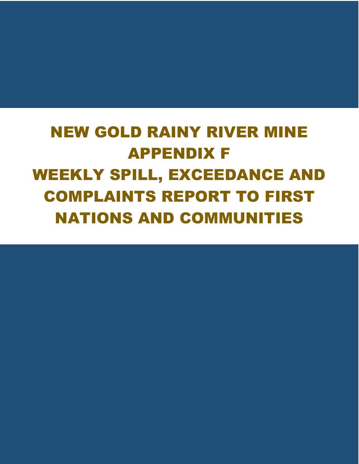# NEW GOLD RAINY RIVER MINE APPENDIX F WEEKLY SPILL, EXCEEDANCE AND COMPLAINTS REPORT TO FIRST NATIONS AND COMMUNITIES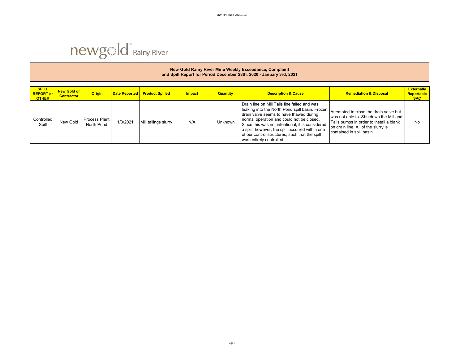|                                                  | New Gold Rainy River Mine Weekly Exceedance, Complaint<br>and Spill Report for Period December 28th, 2020 - January 3rd, 2021 |                                    |          |                                      |        |                 |                                                                                                                                                                                                                                                                                                                                                                              |                                                                                                                                                                                                 |                                               |  |  |  |  |
|--------------------------------------------------|-------------------------------------------------------------------------------------------------------------------------------|------------------------------------|----------|--------------------------------------|--------|-----------------|------------------------------------------------------------------------------------------------------------------------------------------------------------------------------------------------------------------------------------------------------------------------------------------------------------------------------------------------------------------------------|-------------------------------------------------------------------------------------------------------------------------------------------------------------------------------------------------|-----------------------------------------------|--|--|--|--|
| <b>SPILL</b><br><b>REPORT or</b><br><b>OTHER</b> | New Gold or<br><b>Contractor</b>                                                                                              | <b>Origin</b>                      |          | <b>Date Reported Product Spilled</b> | Impact | <b>Quantity</b> | <b>Description &amp; Cause</b>                                                                                                                                                                                                                                                                                                                                               | <b>Remediation &amp; Disposal</b>                                                                                                                                                               | <b>Externally</b><br>Reportable<br><b>SAC</b> |  |  |  |  |
| Controlled<br>Spill                              | New Gold                                                                                                                      | <b>Process Plant</b><br>North Pond | 1/3/2021 | Mill tailings slurry                 | N/A    | <b>Unknown</b>  | Drain line on Mill Tails line failed and was<br>leaking into the North Pond spill basin. Frozen<br>drain valve seems to have thawed during<br>normal operation and could not be closed.<br>Since this was not intentional, it is considered<br>a spill, however, the spill occurred within one<br>of our control structures, such that the spill<br>was entirely controlled. | Attempted to close the drain valve but<br>was not able to. Shutdown the Mill and<br>Tails pumps in order to install a blank<br>on drain line. All of the slurry is<br>contained in spill basin. | <b>No</b>                                     |  |  |  |  |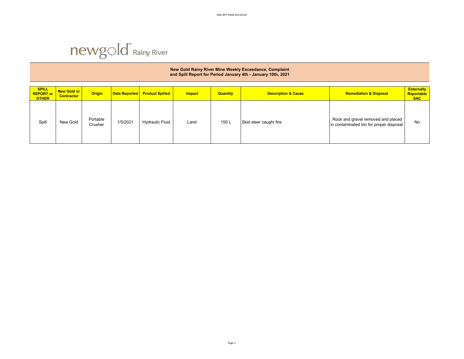## **SPILL REPORT or OTHER New Gold or Contractor | Origin | Date Reported | Product Spilled | Impact | Quantity | Description & Cause | Remediation & Disposal | Remediation & Disposal | Remediation & Disposal | Remediation & Disposal | Remediation & Disposal Externally Reportable SAC**  Spill New Gold Portable<br>Crusher Portable 1/5/2021 Hydraulic Fluid Land 155 L Skid steer caught fire. Rock and gravel removed and placed No<br>Crusher in contaminated bin for proper disposal. No **New Gold Rainy River Mine Weekly Exceedance, Complaint and Spill Report for Period January 4th - January 10th, 2021**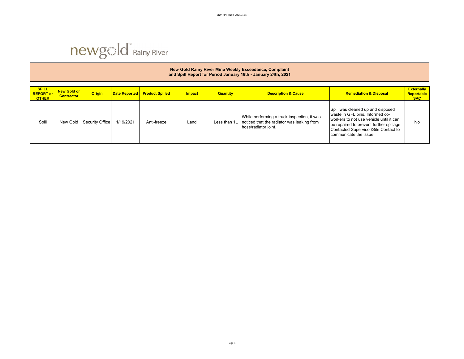

### **SPILL REPORT or OTHER New Gold or Contractor | Origin | Date Reported | Product Spilled | Impact | Quantity | Description & Cause | Remediation & Disposal | Remediation & Disposal | Remediation & Disposal | Remediation & Disposal | Remediation & Disposal Externally Reportable SAC**  Spill New Gold Security Office 1/19/2021 Anti-freeze Land Less than 1L While performing a truck inspection, it was noticed that the radiator was leaking from hose/radiator joint. Spill was cleaned up and disposed waste in GFL bins. Informed coworkers to not use vehicle until it can be repaired to prevent further spillage. Contacted Supervisor/Site Contact to communicate the issue. No **New Gold Rainy River Mine Weekly Exceedance, Complaint and Spill Report for Period January 18th - January 24th, 2021**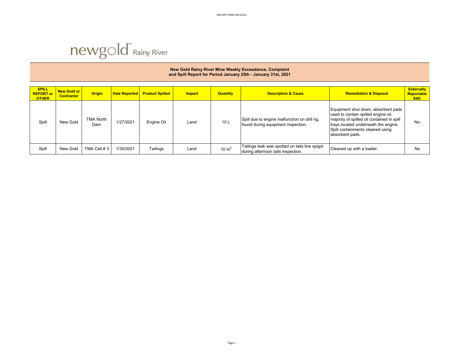

### **SPILL REPORT or OTHER New Gold or Contractor | Origin | Date Reported | Product Spilled | Impact | Quantity | Description & Cause | Remediation & Disposal | Remediation & Disposal | Remediation & Disposal | Remediation & Disposal | Remediation & Disposal Externally Reportable SAC**  Spill New Gold TMA North A North | 1/27/2021 | Engine Oil | Land | 10 L Spill due to engine malfunction on drill rig, <br>Dam | 1/27/2021 | Engine Oil | Land | 10 L | found during equipment inspection. Equipment shut down, absorbent pads used to contain spilled engine oil, majority of spilled oil contained in spill trays located underneath the engine. Spill containments cleaned using absorbent pads. No Spill New Gold TMA Cell # 3 1/30/2021 Tailings Land 10 m<sup>3</sup> Tailings leak was spotted on tails line spigot Trailings leak was spotted on tails line spigot Cleaned up with a loader.<br>during afternoon tails inspection. **New Gold Rainy River Mine Weekly Exceedance, Complaint and Spill Report for Period January 25th - January 31st, 2021**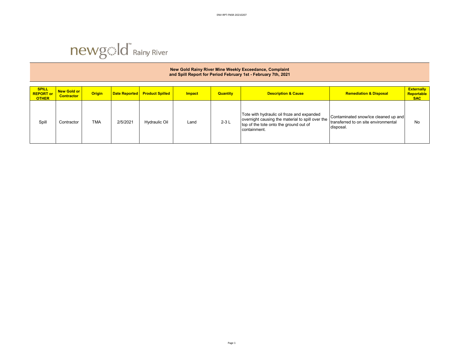### **SPILL REPORT or OTHER New Gold or Contractor | Origin | Date Reported | Product Spilled | Impact | Quantity | Description & Cause | Remediation & Disposal | Remediation & Disposal | Remediation & Disposal | Remediation & Disposal | Remediation & Disposal Externally Reportable SAC**  Spill Contractor TMA 2/5/2021 Hydraulic Oil Land 2-3 L Tote with hydraulic oil froze and expanded overnight causing the material to spill over the top of the tote onto the ground out of containment. Contaminated snow/ice cleaned up and transferred to on site environmental disposal. No **New Gold Rainy River Mine Weekly Exceedance, Complaint and Spill Report for Period February 1st - February 7th, 2021**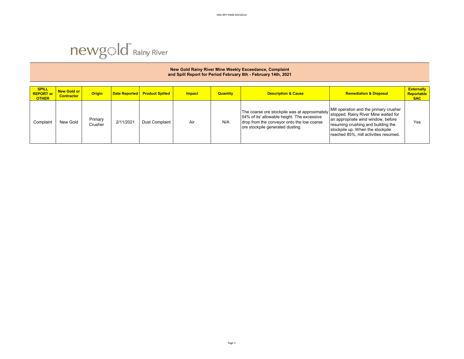#### **SPILL REPORT or OTHER New Gold or Contractor | Origin | Date Reported | Product Spilled | Impact | Quantity | Description & Cause | Remediation & Disposal | Remediation & Disposal | Remediation & Disposal | Remediation & Disposal | Remediation & Disposal Externally Reportable SAC**  Complaint New Gold Primary 2/11/2021 Dust Complaint Air N/A The coarse ore stockpile was at approximately 54% of its' allowable height. The excessive drop from the conveyor onto the low coarse ore stockpile generated dusting. Mill operation and the primary crusher stopped. Rainy River Mine waited for an appropriate wind window, before resuming crushing and building the stockpile up. When the stockpile reached 85%, mill activities resumed. Yes **New Gold Rainy River Mine Weekly Exceedance, Complaint and Spill Report for Period February 8th - February 14th, 2021**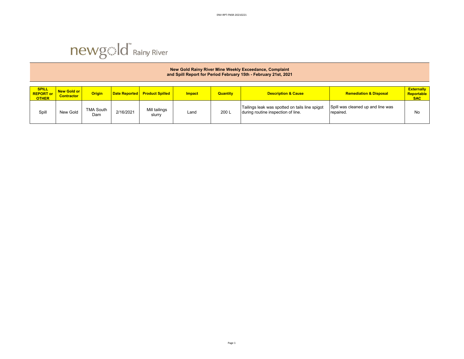

|                                                  | New Gold Rainy River Mine Weekly Exceedance, Complaint<br>and Spill Report for Period February 15th - February 21st, 2021 |                         |           |                                 |               |                 |                                                                                      |                                                |                                               |  |  |  |  |
|--------------------------------------------------|---------------------------------------------------------------------------------------------------------------------------|-------------------------|-----------|---------------------------------|---------------|-----------------|--------------------------------------------------------------------------------------|------------------------------------------------|-----------------------------------------------|--|--|--|--|
| <b>SPILL</b><br><b>REPORT or</b><br><b>OTHER</b> | <b>New Gold or</b><br><b>Contractor</b>                                                                                   | <b>Origin</b>           |           | Date Reported   Product Spilled | <b>Impact</b> | <b>Quantity</b> | <b>Description &amp; Cause</b>                                                       | <b>Remediation &amp; Disposal</b>              | <b>Externally</b><br>Reportable<br><b>SAC</b> |  |  |  |  |
| Spill                                            | New Gold                                                                                                                  | <b>TMA South</b><br>Dam | 2/16/2021 | Mill tailings<br>slurry         | Land          | 200 L           | Tailings leak was spotted on tails line spigot<br>during routine inspection of line. | Spill was cleaned up and line was<br>repaired. | No                                            |  |  |  |  |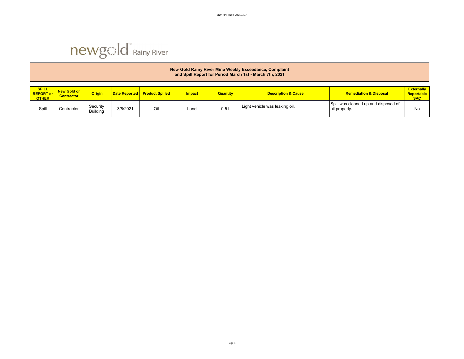

|                                                  | New Gold Rainy River Mine Weekly Exceedance, Complaint<br>and Spill Report for Period March 1st - March 7th, 2021 |                             |          |                               |        |                 |                                |                                                       |                                               |  |  |  |  |
|--------------------------------------------------|-------------------------------------------------------------------------------------------------------------------|-----------------------------|----------|-------------------------------|--------|-----------------|--------------------------------|-------------------------------------------------------|-----------------------------------------------|--|--|--|--|
| <b>SPILL</b><br><b>REPORT or</b><br><b>OTHER</b> | New Gold or<br><b>Contractor</b>                                                                                  | <b>Origin</b>               |          | Date Reported Product Spilled | Impact | <b>Quantity</b> | <b>Description &amp; Cause</b> | <b>Remediation &amp; Disposal</b>                     | <b>Externally</b><br>Reportable<br><b>SAC</b> |  |  |  |  |
| Spill                                            | Contractor                                                                                                        | Security<br><b>Building</b> | 3/6/2021 | Oil                           | Land   | 0.5L            | Light vehicle was leaking oil. | Spill was cleaned up and disposed of<br>oil properly. | No                                            |  |  |  |  |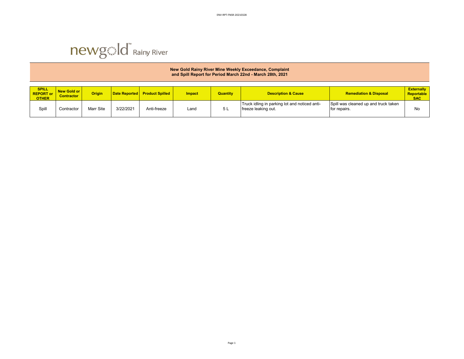|                                                  | New Gold Rainy River Mine Weekly Exceedance, Complaint<br>and Spill Report for Period March 22nd - March 28th, 2021 |               |               |                        |               |                 |                                                                      |                                                      |                                               |  |  |  |  |
|--------------------------------------------------|---------------------------------------------------------------------------------------------------------------------|---------------|---------------|------------------------|---------------|-----------------|----------------------------------------------------------------------|------------------------------------------------------|-----------------------------------------------|--|--|--|--|
| <b>SPILL</b><br><b>REPORT or</b><br><b>OTHER</b> | New Gold or<br><b>Contractor</b>                                                                                    | <b>Origin</b> | Date Reported | <b>Product Spilled</b> | <b>Impact</b> | <b>Quantity</b> | <b>Description &amp; Cause</b>                                       | <b>Remediation &amp; Disposal</b>                    | <b>Externally</b><br>Reportable<br><b>SAC</b> |  |  |  |  |
| Spill                                            | Contractor                                                                                                          | Marr Site     | 3/22/2021     | Anti-freeze            | Land          | 5L              | Truck idling in parking lot and noticed anti-<br>freeze leaking out. | Spill was cleaned up and truck taken<br>for repairs. | No                                            |  |  |  |  |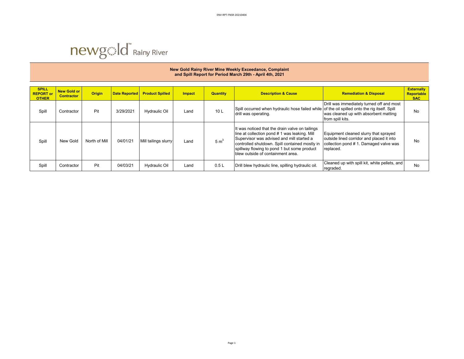

#### **SPILL REPORT or OTHER New Gold or Contractor | Origin | Date Reported | Product Spilled | Impact | Quantity | Description & Cause | Remediation & Disposal <b>Contractor Externally Reportable SAC**  Spill Contractor Pit 3/29/2021 Hydraulic Oil Land 10 L Spill occurred when hydraulic hose failed while of the oil spilled onto the rig itself. Spill<br>Spill Contractor Pit Street ont the Street of Hydraulic Oil Land 10 L dri drill was operating. Drill was immediately turned off and most was cleaned up with absorbent matting from spill kits. No Spill New Gold North of Mill 04/01/21 Mill tailings slurry Land  $\frac{1}{5}$  m<sup>3</sup> It was noticed that the drain valve on tailings line at collection pond # 1 was leaking. Mill Supervisor was advised and mill started a controlled shutdown. Spill contained mostly in spillway flowing to pond 1 but some product blew outside of containment area. Equipment cleaned slurry that sprayed outside lined corridor and placed it into collection pond # 1. Damaged valve was replaced. No Spill Contractor Pit 04/03/21 Hydraulic Oil Land 0.5 L Drill blew hydraulic line, spilling hydraulic oil. Cleaned u regraded. No **New Gold Rainy River Mine Weekly Exceedance, Complaint and Spill Report for Period March 29th - April 4th, 2021**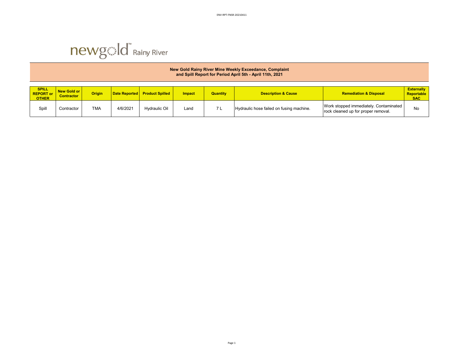

|                                                  | New Gold Rainy River Mine Weekly Exceedance, Complaint<br>and Spill Report for Period April 5th - April 11th, 2021 |               |          |                                 |               |                 |                                          |                                                                               |                                               |  |  |  |  |
|--------------------------------------------------|--------------------------------------------------------------------------------------------------------------------|---------------|----------|---------------------------------|---------------|-----------------|------------------------------------------|-------------------------------------------------------------------------------|-----------------------------------------------|--|--|--|--|
| <b>SPILL</b><br><b>REPORT or</b><br><b>OTHER</b> | New Gold or<br><b>Contractor</b>                                                                                   | <b>Origin</b> |          | Date Reported   Product Spilled | <b>Impact</b> | <b>Quantity</b> | <b>Description &amp; Cause</b>           | <b>Remediation &amp; Disposal</b>                                             | <b>Externally</b><br>Reportable<br><b>SAC</b> |  |  |  |  |
| Spill                                            | Contractor                                                                                                         | <b>TMA</b>    | 4/6/2021 | <b>Hydraulic Oil</b>            | Land          |                 | Hydraulic hose failed on fusing machine. | Work stopped immediately. Contaminated<br>rock cleaned up for proper removal. | No                                            |  |  |  |  |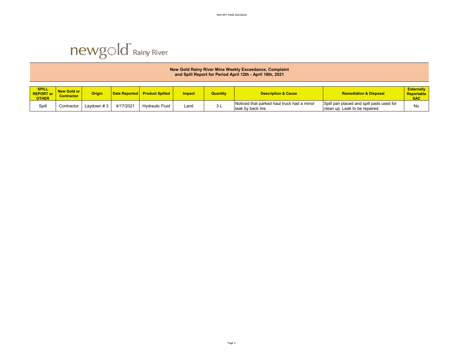

|                                                  | New Gold Rainy River Mine Weekly Exceedance, Complaint<br>and Spill Report for Period April 12th - April 18th, 2021 |               |           |                                 |               |                 |                                                                  |                                                                            |                                               |  |  |  |  |
|--------------------------------------------------|---------------------------------------------------------------------------------------------------------------------|---------------|-----------|---------------------------------|---------------|-----------------|------------------------------------------------------------------|----------------------------------------------------------------------------|-----------------------------------------------|--|--|--|--|
| <b>SPILL</b><br><b>REPORT</b> or<br><b>OTHER</b> | New Gold or<br><b>Contractor</b>                                                                                    | <b>Origin</b> |           | Date Reported   Product Spilled | <b>Impact</b> | <b>Quantity</b> | <b>Description &amp; Cause</b>                                   | <b>Remediation &amp; Disposal</b>                                          | <b>Externally</b><br>Reportable<br><b>SAC</b> |  |  |  |  |
| Spil                                             | Contractor                                                                                                          | Lavdown #3    | 4/17/2021 | <b>Hydraulic Fluid</b>          | Land          | 3L              | Noticed that parked haul truck had a minor<br>leak by back tire. | Spill pan placed and spill pads used for<br>clean up. Leak to be repaired. | No                                            |  |  |  |  |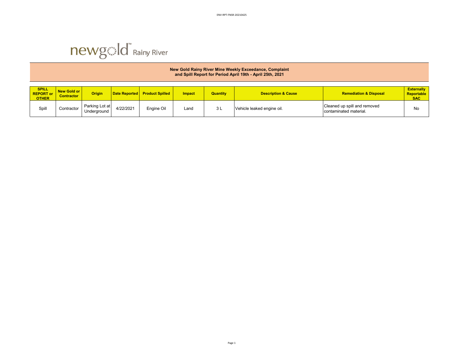

|                                                  | New Gold Rainy River Mine Weekly Exceedance, Complaint<br>and Spill Report for Period April 19th - April 25th, 2021 |                               |           |                                 |               |                 |                                |                                                        |                                               |  |  |  |  |
|--------------------------------------------------|---------------------------------------------------------------------------------------------------------------------|-------------------------------|-----------|---------------------------------|---------------|-----------------|--------------------------------|--------------------------------------------------------|-----------------------------------------------|--|--|--|--|
| <b>SPILL</b><br><b>REPORT or</b><br><b>OTHER</b> | New Gold or<br><b>Contractor</b>                                                                                    | <b>Origin</b>                 |           | Date Reported   Product Spilled | <b>Impact</b> | <b>Quantity</b> | <b>Description &amp; Cause</b> | <b>Remediation &amp; Disposal</b>                      | <b>Externally</b><br>Reportable<br><b>SAC</b> |  |  |  |  |
| Spill                                            | Contractor                                                                                                          | Parking Lot at<br>Underground | 4/22/2021 | Engine Oil                      | Land          | 3L              | Vehicle leaked engine oil.     | Cleaned up spill and removed<br>contaminated material. | No                                            |  |  |  |  |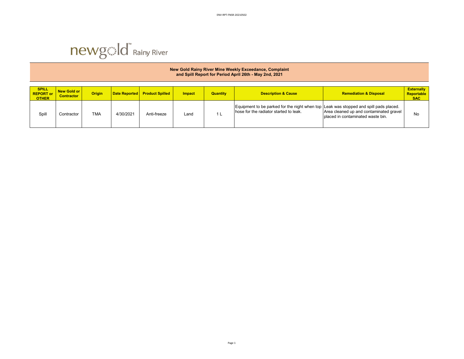

|                                                  | New Gold Rainy River Mine Weekly Exceedance, Complaint<br>and Spill Report for Period April 26th - May 2nd, 2021 |               |                      |                        |               |                 |                                                                                                                                 |                                                                                |                                               |  |  |  |  |
|--------------------------------------------------|------------------------------------------------------------------------------------------------------------------|---------------|----------------------|------------------------|---------------|-----------------|---------------------------------------------------------------------------------------------------------------------------------|--------------------------------------------------------------------------------|-----------------------------------------------|--|--|--|--|
| <b>SPILL</b><br><b>REPORT or</b><br><b>OTHER</b> | New Gold or<br><b>Contractor</b>                                                                                 | <b>Origin</b> | <b>Date Reported</b> | <b>Product Spilled</b> | <b>Impact</b> | <b>Quantity</b> | <b>Description &amp; Cause</b>                                                                                                  | <b>Remediation &amp; Disposal</b>                                              | <b>Externally</b><br>Reportable<br><b>SAC</b> |  |  |  |  |
| Spill                                            | Contractor                                                                                                       | <b>TMA</b>    | 4/30/2021            | Anti-freeze            | Land          |                 | Equipment to be parked for the night when top Leak was stopped and spill pads placed.<br>hose for the radiator started to leak. | Area cleaned up and contaminated gravel<br>I placed in contaminated waste bin. | No                                            |  |  |  |  |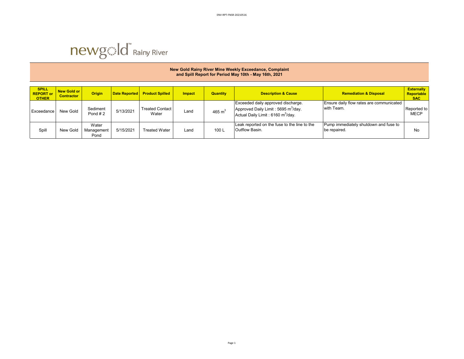

|                                                  | New Gold Rainy River Mine Weekly Exceedance, Complaint<br>and Spill Report for Period May 10th - May 16th, 2021 |                             |                      |                                 |               |                 |                                                                                                                                        |                                                        |                                               |  |  |  |  |
|--------------------------------------------------|-----------------------------------------------------------------------------------------------------------------|-----------------------------|----------------------|---------------------------------|---------------|-----------------|----------------------------------------------------------------------------------------------------------------------------------------|--------------------------------------------------------|-----------------------------------------------|--|--|--|--|
| <b>SPILL</b><br><b>REPORT or</b><br><b>OTHER</b> | <b>New Gold or</b><br><b>Contractor</b>                                                                         | <b>Origin</b>               | <b>Date Reported</b> | <b>Product Spilled</b>          | <b>Impact</b> | <b>Quantity</b> | <b>Description &amp; Cause</b>                                                                                                         | <b>Remediation &amp; Disposal</b>                      | <b>Externally</b><br>Reportable<br><b>SAC</b> |  |  |  |  |
| Exceedance                                       | New Gold                                                                                                        | Sediment<br>Pond $#2$       | 5/13/2021            | <b>Treated Contact</b><br>Water | Land          | 465 $m3$        | Exceeded daily approved discharge.<br>Approved Daily Limit: 5695 m <sup>3</sup> /day.<br>Actual Daily Limit: 6160 m <sup>3</sup> /day. | Ensure daily flow rates are communicated<br>with Team. | Reported to<br><b>MECP</b>                    |  |  |  |  |
| Spil                                             | New Gold                                                                                                        | Water<br>Management<br>Pond | 5/15/2021            | <b>Treated Water</b>            | Land          | 100L            | Leak reported on the fuse to the line to the<br>Outflow Basin.                                                                         | Pump immediately shutdown and fuse to<br>be repaired.  | No                                            |  |  |  |  |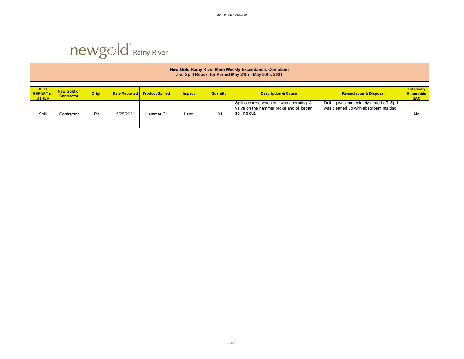

| New Gold Rainy River Mine Weekly Exceedance, Complaint<br>and Spill Report for Period May 24th - May 30th, 2021 |                                    |               |                      |                        |               |                 |                                                                                                        |                                                                                       |                                               |  |  |  |
|-----------------------------------------------------------------------------------------------------------------|------------------------------------|---------------|----------------------|------------------------|---------------|-----------------|--------------------------------------------------------------------------------------------------------|---------------------------------------------------------------------------------------|-----------------------------------------------|--|--|--|
| <b>SPILL</b><br><b>REPORT or</b><br><b>OTHER</b>                                                                | New Gold or I<br><b>Contractor</b> | <b>Origin</b> | <b>Date Reported</b> | <b>Product Spilled</b> | <b>Impact</b> | <b>Quantity</b> | <b>Description &amp; Cause</b>                                                                         | <b>Remediation &amp; Disposal</b>                                                     | <b>Externally</b><br>Reportable<br><b>SAC</b> |  |  |  |
| Spill                                                                                                           | Contractor                         | Pit           | 5/25/2021            | Hammer Oil             | Land          | 10 <sub>L</sub> | Spill occurred when drill was operating. A<br>valve on the hammer broke and oil began<br>spilling out. | Drill rig was immediately turned off. Spill<br>was cleaned up with absorbent matting. | No                                            |  |  |  |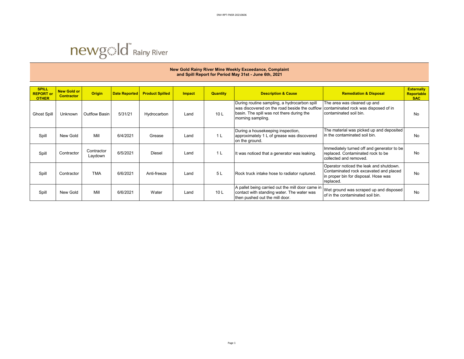#### **SPILL REPORT or OTHER New Gold or Contractor | Origin | Date Reported | Product Spilled | Impact | Quantity | Description & Cause | Remediation & Disposal <b>Contractor Externally Reportable SAC**  Ghost Spill | Unknown | Outflow Basin | 5/31/21 | Hydrocarbon | Land | 10 L During routine sampling, a hydrocarbon spill was discovered on the road beside the outflow basin. The spill was not there during the morning sampling. The area was cleaned up and contaminated rock was disposed of in contaminated soil bin. No Spill | New Gold | Mill | 6/4/2021 | Grease Land 1 L During a housekeeping inspection, approximately 1 L of grease was discovered on the ground. The material was picked up and deposited in the contaminated soil bin. No Spill Contractor Contractor 6/5/2021 Diesel Land 1 L It was noticed that a generator was leaking. Immediately turned off and generator to be replaced. Contaminated rock to be collected and removed. No Spill Contractor TMA 6/6/2021 Anti-freeze Land 5 L Rock truck intake hose to radiator ruptured. Operator noticed the leak and shutdown. Contaminated rock excavated and placed in proper bin for disposal. Hose was replaced. No Spill | New Gold | Mill | 6/6/2021 | Water | Land | 10 L A pallet being carried out the mill door came in contact with standing water. The water was then pushed out the mill door. Wet ground was scraped up and disposed The ground was scraped up and disposed<br>of in the contaminated soil bin. **New Gold Rainy River Mine Weekly Exceedance, Complaint and Spill Report for Period May 31st - June 6th, 2021**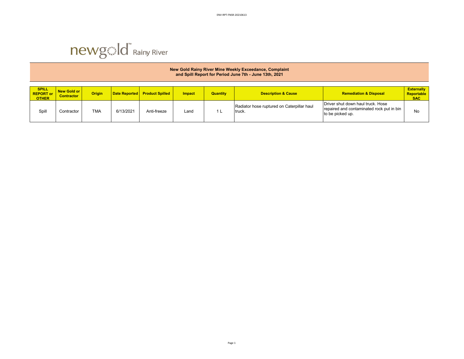

|                                                  | New Gold Rainy River Mine Weekly Exceedance, Complaint<br>and Spill Report for Period June 7th - June 13th, 2021 |               |                      |                        |               |                 |                                                      |                                                                                                    |                                               |  |  |  |  |
|--------------------------------------------------|------------------------------------------------------------------------------------------------------------------|---------------|----------------------|------------------------|---------------|-----------------|------------------------------------------------------|----------------------------------------------------------------------------------------------------|-----------------------------------------------|--|--|--|--|
| <b>SPILL</b><br><b>REPORT or</b><br><b>OTHER</b> | New Gold or<br><b>Contractor</b>                                                                                 | <b>Origin</b> | <b>Date Reported</b> | <b>Product Spilled</b> | <b>Impact</b> | <b>Quantity</b> | <b>Description &amp; Cause</b>                       | <b>Remediation &amp; Disposal</b>                                                                  | <b>Externally</b><br>Reportable<br><b>SAC</b> |  |  |  |  |
| Spill                                            | Contractor                                                                                                       | <b>TMA</b>    | 6/13/2021            | Anti-freeze            | Land          |                 | Radiator hose ruptured on Caterpillar haul<br>truck. | Driver shut down haul truck. Hose<br>repaired and contaminated rock put in bin<br>to be picked up. | No                                            |  |  |  |  |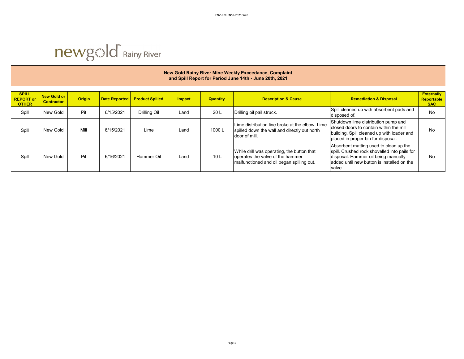

#### **SPILL REPORT or OTHER New Gold or Contractor Contracts Contracts Contracts Indianagement Contract American Contracts Contractor <b>Contractor Contractor Contractor Contractor Contractor Business Contractor Contractor Contractor Contractor Externally Reportable SAC**  Spill New Gold Pit 6/15/2021 Drilling Oil Land 20 L Drilling oil pail struck. Spill cleaned up with absorbent pads and No Spill New Gold Mill 6/15/2021 Lime Land 1000 L Lime distribution line broke at the elbow. Lime spilled down the wall and directly out north door of mill. Shutdown lime distribution pump and closed doors to contain within the mill building. Spill cleaned up with loader and placed in proper bin for disposal. No Spill | New Gold | Pit | 6/16/2021 | Hammer Oil | Land | 10 L While drill was operating, the button that operates the valve of the hammer malfunctioned and oil began spilling out. Absorbent matting used to clean up the spill. Crushed rock shovelled into pails for disposal. Hammer oil being manually added until new button is installed on the valve. No **New Gold Rainy River Mine Weekly Exceedance, Complaint and Spill Report for Period June 14th - June 20th, 2021**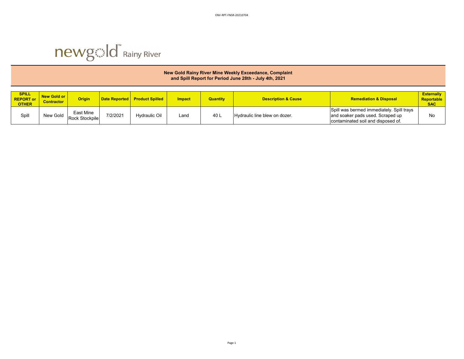

|                                                  | New Gold Rainy River Mine Weekly Exceedance, Complaint<br>and Spill Report for Period June 28th - July 4th, 2021 |                             |                      |                        |               |                 |                                |                                                                                                                     |                                               |  |  |  |  |
|--------------------------------------------------|------------------------------------------------------------------------------------------------------------------|-----------------------------|----------------------|------------------------|---------------|-----------------|--------------------------------|---------------------------------------------------------------------------------------------------------------------|-----------------------------------------------|--|--|--|--|
| <b>SPILL</b><br><b>REPORT or</b><br><b>OTHER</b> | New Gold or<br><b>Contractor</b>                                                                                 | <b>Origin</b>               | <b>Date Reported</b> | <b>Product Spilled</b> | <b>Impact</b> | <b>Quantity</b> | <b>Description &amp; Cause</b> | <b>Remediation &amp; Disposal</b>                                                                                   | <b>Externally</b><br>Reportable<br><b>SAC</b> |  |  |  |  |
| Spill                                            | New Gold                                                                                                         | East Mine<br>Rock Stockpile | 7/2/2021             | Hydraulic Oil          | Land          | 40 L            | Hydraulic line blew on dozer.  | Spill was bermed immediately. Spill trays<br>and soaker pads used. Scraped up<br>contaminated soil and disposed of. | No                                            |  |  |  |  |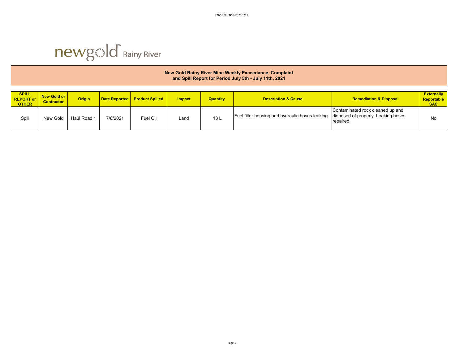

|                                                  | New Gold Rainy River Mine Weekly Exceedance, Complaint<br>and Spill Report for Period July 5th - July 11th, 2021 |               |                      |                        |               |                 |                                                                                      |                                               |                                                      |  |  |  |  |
|--------------------------------------------------|------------------------------------------------------------------------------------------------------------------|---------------|----------------------|------------------------|---------------|-----------------|--------------------------------------------------------------------------------------|-----------------------------------------------|------------------------------------------------------|--|--|--|--|
| <b>SPILL</b><br><b>REPORT or</b><br><b>OTHER</b> | New Gold or<br><b>Contractor</b>                                                                                 | <b>Origin</b> | <b>Date Reported</b> | <b>Product Spilled</b> | <b>Impact</b> | <b>Quantity</b> | <b>Description &amp; Cause</b>                                                       | <b>Remediation &amp; Disposal</b>             | <b>Externally</b><br><b>Reportable</b><br><b>SAC</b> |  |  |  |  |
| Spill                                            | New Gold                                                                                                         | Haul Road 1   | 7/6/2021             | Fuel Oil               | Land          | 13L             | Fuel filter housing and hydraulic hoses leaking. disposed of properly. Leaking hoses | Contaminated rock cleaned up and<br>repaired. | No                                                   |  |  |  |  |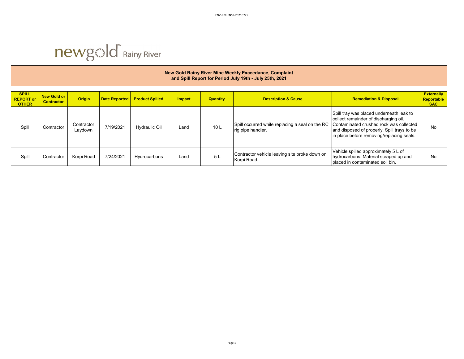

| New Gold Rainy River Mine Weekly Exceedance, Complaint  |
|---------------------------------------------------------|
| and Spill Report for Period July 19th - July 25th, 2021 |

| <b>SPILL</b><br><b>REPORT or</b><br><b>OTHER</b> | <b>New Gold or</b><br><b>Contractor</b> | <b>Origin</b>         | <b>Date Reported</b> | <b>Product Spilled</b> | <b>Impact</b> | <b>Quantity</b> | <b>Description &amp; Cause</b>                                       | <b>Remediation &amp; Disposal</b>                                                                                                                                                                                        | <b>Externally</b><br>Reportable<br><b>SAC</b> |
|--------------------------------------------------|-----------------------------------------|-----------------------|----------------------|------------------------|---------------|-----------------|----------------------------------------------------------------------|--------------------------------------------------------------------------------------------------------------------------------------------------------------------------------------------------------------------------|-----------------------------------------------|
| Spill                                            | Contractor                              | Contractor<br>Laydown | 7/19/2021            | Hydraulic Oil          | Land          | 10L             | Spill occurred while replacing a seal on the RC<br>rig pipe handler. | Spill tray was placed underneath leak to<br>collect remainder of discharging oil.<br>Contaminated crushed rock was collected<br>and disposed of properly. Spill trays to be<br>in place before removing/replacing seals. | No                                            |
| Spill                                            | Contractor                              | Korpi Road            | 7/24/2021            | Hydrocarbons           | Land          | 5 L             | Contractor vehicle leaving site broke down on<br>Korpi Road.         | Vehicle spilled approximately 5 L of<br>hydrocarbons. Material scraped up and<br>placed in contaminated soil bin.                                                                                                        | No                                            |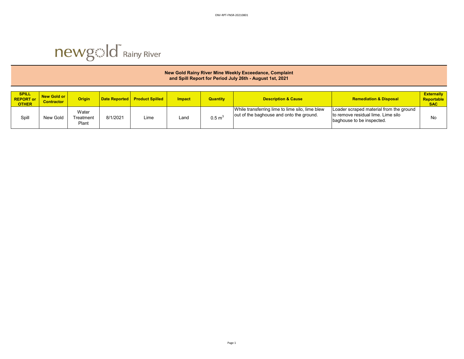

|                                                  | New Gold Rainy River Mine Weekly Exceedance, Complaint<br>and Spill Report for Period July 26th - August 1st, 2021 |                             |                      |                        |               |                   |                                                                                             |                                                                                                            |                                               |  |  |  |
|--------------------------------------------------|--------------------------------------------------------------------------------------------------------------------|-----------------------------|----------------------|------------------------|---------------|-------------------|---------------------------------------------------------------------------------------------|------------------------------------------------------------------------------------------------------------|-----------------------------------------------|--|--|--|
| <b>SPILL</b><br><b>REPORT or</b><br><b>OTHER</b> | <b>New Gold or</b><br><b>Contractor</b>                                                                            | <b>Origin</b>               | <b>Date Reported</b> | <b>Product Spilled</b> | <b>Impact</b> | <b>Quantity</b>   | <b>Description &amp; Cause</b>                                                              | <b>Remediation &amp; Disposal</b>                                                                          | <b>Externally</b><br>Reportable<br><b>SAC</b> |  |  |  |
| Spill                                            | New Gold                                                                                                           | Water<br>Treatment<br>Plant | 8/1/2021             | Lime                   | Land          | $0.5 \text{ m}^3$ | While transferring lime to lime silo, lime blew<br>out of the baghouse and onto the ground. | Loader scraped material from the ground<br>to remove residual lime. Lime silo<br>baghouse to be inspected. | No                                            |  |  |  |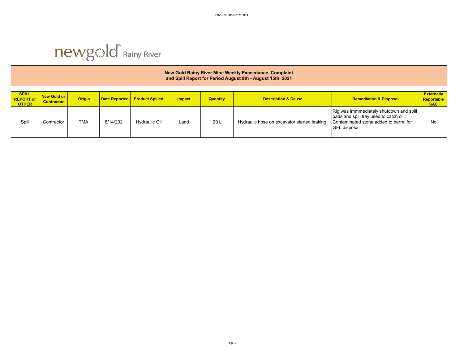

### **New Gold Rainy River Mine Weekly Exceedance, Complaint and Spill Report for Period August 9th - August 15th, 2021**

| <b>SPILL</b><br><b>REPORT or</b><br><b>OTHER</b> | New Gold or<br><b>Contractor</b> | <b>Origin</b> | <b>Date Reported</b> | <b>Product Spilled</b> | <b>Impact</b> | <b>Quantity</b> | <b>Description &amp; Cause</b>               | <b>Remediation &amp; Disposal</b>                                                                                                              | <b>Externally</b><br><b>Reportable</b><br><b>SAC</b> |
|--------------------------------------------------|----------------------------------|---------------|----------------------|------------------------|---------------|-----------------|----------------------------------------------|------------------------------------------------------------------------------------------------------------------------------------------------|------------------------------------------------------|
| Spill                                            | Contractor                       | <b>TMA</b>    | 8/14/2021            | Hvdraulic Oil          | Land          | 20 <sub>L</sub> | Hydraulic hose on excavator started leaking. | Rig was immmediately shutdown and spill  <br>pads and spill tray used to catch oil.<br>Contaminated stone added to barrel for<br>GFL disposal. | No                                                   |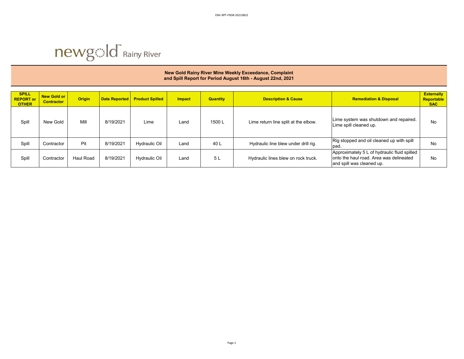

### **New Gold Rainy River Mine Weekly Exceedance, Complaint and Spill Report for Period August 16th - August 22nd, 2021**

| <b>SPILL</b><br><b>REPORT or</b><br><b>OTHER</b> | New Gold or<br><b>Contractor</b> | <b>Origin</b> | <b>Date Reported</b> | <b>Product Spilled</b> | <b>Impact</b> | <b>Quantity</b> | <b>Description &amp; Cause</b>       | <b>Remediation &amp; Disposal</b>                                                                                    | <b>Externally</b><br>Reportable<br><b>SAC</b> |
|--------------------------------------------------|----------------------------------|---------------|----------------------|------------------------|---------------|-----------------|--------------------------------------|----------------------------------------------------------------------------------------------------------------------|-----------------------------------------------|
| Spill                                            | New Gold                         | Mill          | 8/19/2021            | Lime                   | Land          | 1500L           | Lime return line split at the elbow. | Lime system was shutdown and repaired.<br>Lime spill cleaned up.                                                     | No                                            |
| Spill                                            | Contractor                       | Pit           | 8/19/2021            | <b>Hydraulic Oil</b>   | Land          | 40 L            | Hydraulic line blew under drill rig. | Rig stopped and oil cleaned up with spill<br>pad.                                                                    | No                                            |
| Spill                                            | Contractor                       | Haul Road     | 8/19/2021            | <b>Hydraulic Oil</b>   | Land          | 5 L             | Hydraulic lines blew on rock truck.  | Approximately 5 L of hydraulic fluid spilled<br>onto the haul road. Area was delineated<br>and spill was cleaned up. | No                                            |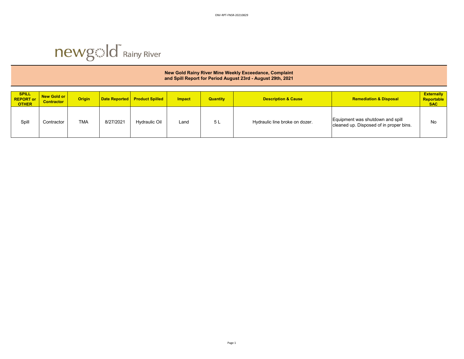

### **New Gold Rainy River Mine Weekly Exceedance, Complaint and Spill Report for Period August 23rd - August 29th, 2021**

| <b>SPILL</b><br><b>REPORT or</b><br><b>OTHER</b> | New Gold or<br><b>Contractor</b> | <b>Origin</b> |           | Date Reported   Product Spilled | <b>Impact</b> | <b>Quantity</b> | <b>Description &amp; Cause</b> | <b>Remediation &amp; Disposal</b>                                           | <b>Externally</b><br>Reportable<br><b>SAC</b> |
|--------------------------------------------------|----------------------------------|---------------|-----------|---------------------------------|---------------|-----------------|--------------------------------|-----------------------------------------------------------------------------|-----------------------------------------------|
| Spill                                            | Contractor                       | <b>TMA</b>    | 8/27/2021 | <b>Hydraulic Oil</b>            | Land          | 5L              | Hydraulic line broke on dozer. | Equipment was shutdown and spill<br>cleaned up. Disposed of in proper bins. | No                                            |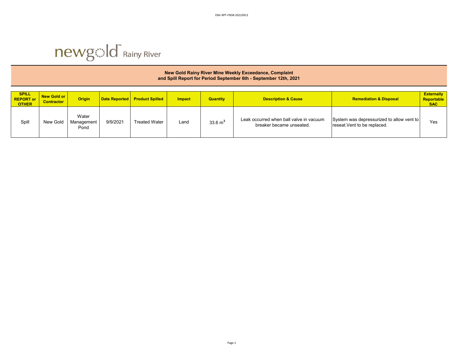

| New Gold Rainy River Mine Weekly Exceedance, Complaint<br>and Spill Report for Period September 6th - September 12th, 2021 |                                  |                             |                      |                        |               |                    |                                                                     |                                                                           |                                               |  |  |
|----------------------------------------------------------------------------------------------------------------------------|----------------------------------|-----------------------------|----------------------|------------------------|---------------|--------------------|---------------------------------------------------------------------|---------------------------------------------------------------------------|-----------------------------------------------|--|--|
| <b>SPILL</b><br><b>REPORT or</b><br><b>OTHER</b>                                                                           | New Gold or<br><b>Contractor</b> | <b>Origin</b>               | <b>Date Reported</b> | <b>Product Spilled</b> | <b>Impact</b> | <b>Quantity</b>    | <b>Description &amp; Cause</b>                                      | <b>Remediation &amp; Disposal</b>                                         | <b>Externally</b><br>Reportable<br><b>SAC</b> |  |  |
| Spill                                                                                                                      | New Gold                         | Water<br>Management<br>Pond | 9/9/2021             | <b>Treated Water</b>   | Land          | $33.6 \text{ m}^3$ | Leak occurred when ball valve in vacuum<br>breaker became unseated. | System was depressurized to allow vent to<br>reseat. Vent to be replaced. | Yes                                           |  |  |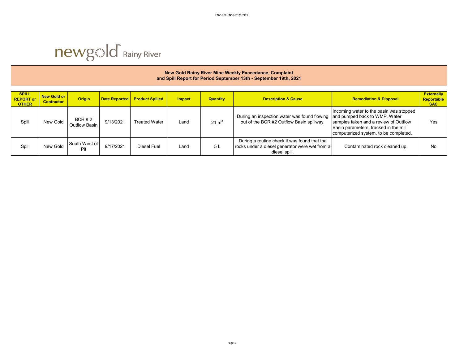

|                                                  | New Gold Rainy River Mine Weekly Exceedance, Complaint<br>and Spill Report for Period September 13th - September 19th, 2021 |                        |                      |                        |               |                  |                                                                                                                 |                                                                                                                                                                                                     |                                               |  |  |  |  |
|--------------------------------------------------|-----------------------------------------------------------------------------------------------------------------------------|------------------------|----------------------|------------------------|---------------|------------------|-----------------------------------------------------------------------------------------------------------------|-----------------------------------------------------------------------------------------------------------------------------------------------------------------------------------------------------|-----------------------------------------------|--|--|--|--|
| <b>SPILL</b><br><b>REPORT or</b><br><b>OTHER</b> | <b>New Gold or</b><br><b>Contractor</b>                                                                                     | <b>Origin</b>          | <b>Date Reported</b> | <b>Product Spilled</b> | <b>Impact</b> | <b>Quantity</b>  | <b>Description &amp; Cause</b>                                                                                  | <b>Remediation &amp; Disposal</b>                                                                                                                                                                   | <b>Externally</b><br>Reportable<br><b>SAC</b> |  |  |  |  |
| Spill                                            | New Gold                                                                                                                    | BCR#2<br>Outflow Basin | 9/13/2021            | <b>Treated Water</b>   | Land          | $21 \text{ m}^3$ | During an inspection water was found flowing<br>out of the BCR #2 Outflow Basin spillway.                       | Incoming water to the basin was stopped<br>and pumped back to WMP. Water<br>samples taken and a review of Outflow<br>Basin parameters, tracked in the mill<br>computerized system, to be completed. | Yes                                           |  |  |  |  |
| Spill                                            | New Gold                                                                                                                    | South West of<br>Pit   | 9/17/2021            | Diesel Fuel            | Land          | 5L               | During a routine check it was found that the<br>rocks under a diesel generator were wet from a<br>diesel spill. | Contaminated rock cleaned up.                                                                                                                                                                       | No                                            |  |  |  |  |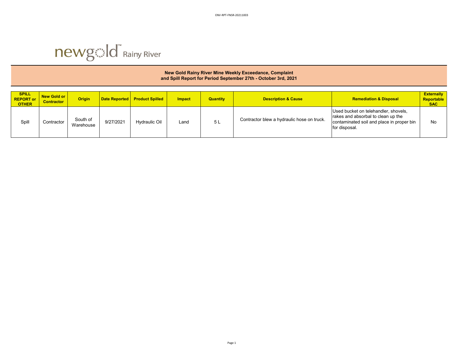

|                                                  | New Gold Rainy River Mine Weekly Exceedance, Complaint<br>and Spill Report for Period September 27th - October 3rd, 2021 |                       |                      |                        |               |                 |                                            |                                                                                                                                          |                                               |  |  |  |  |
|--------------------------------------------------|--------------------------------------------------------------------------------------------------------------------------|-----------------------|----------------------|------------------------|---------------|-----------------|--------------------------------------------|------------------------------------------------------------------------------------------------------------------------------------------|-----------------------------------------------|--|--|--|--|
| <b>SPILL</b><br><b>REPORT or</b><br><b>OTHER</b> | New Gold or<br><b>Contractor</b>                                                                                         | <b>Origin</b>         | <b>Date Reported</b> | <b>Product Spilled</b> | <b>Impact</b> | <b>Quantity</b> | <b>Description &amp; Cause</b>             | <b>Remediation &amp; Disposal</b>                                                                                                        | <b>Externally</b><br>Reportable<br><b>SAC</b> |  |  |  |  |
| Spill                                            | Contractor                                                                                                               | South of<br>Warehouse | 9/27/2021            | <b>Hydraulic Oil</b>   | $L$ and       | 5 L             | Contractor blew a hydraulic hose on truck. | Used bucket on telehandler, shovels,<br>rakes and absorbal to clean up the<br>contaminated soil and place in proper bin<br>for disposal. | No                                            |  |  |  |  |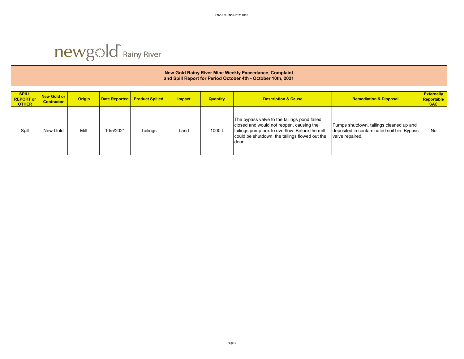

### **New Gold Rainy River Mine Weekly Exceedance, Complaint and Spill Report for Period October 4th - October 10th, 2021**

| <b>SPILL</b><br><b>REPORT or</b><br><b>OTHER</b> | <b>New Gold or</b><br><b>Contractor</b> | <b>Origin</b> | <b>Date Reported</b> | <b>Product Spilled</b> | <b>Impact</b> | <b>Quantity</b> | <b>Description &amp; Cause</b>                                                                                                                                                                        | <b>Remediation &amp; Disposal</b>                                                                        | <b>Externally</b><br>Reportable<br><b>SAC</b> |
|--------------------------------------------------|-----------------------------------------|---------------|----------------------|------------------------|---------------|-----------------|-------------------------------------------------------------------------------------------------------------------------------------------------------------------------------------------------------|----------------------------------------------------------------------------------------------------------|-----------------------------------------------|
| Spill                                            | New Gold                                | Mill          | 10/5/2021            | Tailings               | Land          | 1000L           | The bypass valve to the tailings pond failed<br>closed and would not reopen, causing the<br>tailings pump box to overflow. Before the mill<br>could be shutdown, the tailings flowed out the<br>door. | Pumps shutdown, tailings cleaned up and<br>deposited in contaminated soil bin. Bypass<br>valve repaired. | No                                            |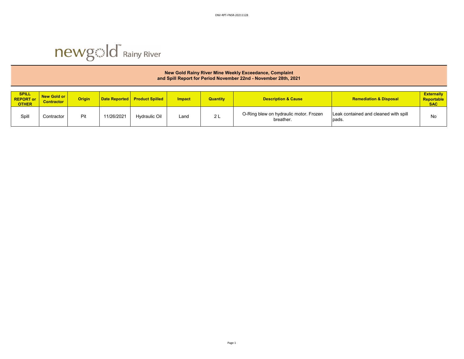

|                                    | New Gold Rainy River Mine Weekly Exceedance, Complaint<br>and Spill Report for Period November 22nd - November 28th, 2021 |               |                      |                        |               |                 |                                                     |                                                |                                               |  |  |  |
|------------------------------------|---------------------------------------------------------------------------------------------------------------------------|---------------|----------------------|------------------------|---------------|-----------------|-----------------------------------------------------|------------------------------------------------|-----------------------------------------------|--|--|--|
| SPILL<br>REPORT or<br><b>OTHER</b> | <b>New Gold or</b><br><b>Contractor</b>                                                                                   | <b>Origin</b> | <b>Date Reported</b> | <b>Product Spilled</b> | <b>Impact</b> | <b>Quantity</b> | <b>Description &amp; Cause</b>                      | <b>Remediation &amp; Disposal</b>              | <b>Externally</b><br>Reportable<br><b>SAC</b> |  |  |  |
| Spill                              | Contractor                                                                                                                | Pit           | 11/26/2021           | <b>Hydraulic Oil</b>   | Land          | 2L              | O-Ring blew on hydraulic motor. Frozen<br>breather. | Leak contained and cleaned with spill<br>pads. | No                                            |  |  |  |